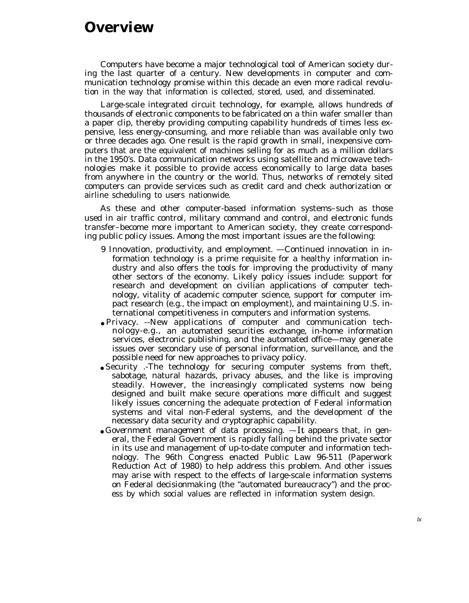## **Overview**

Computers have become a major technological tool of American society during the last quarter of a century. New developments in computer and communication technology promise within this decade an even more radical revolution in the way that information is collected, stored, used, and disseminated.

Large-scale integrated circuit technology, for example, allows hundreds of thousands of electronic components to be fabricated on a thin wafer smaller than a paper clip, thereby providing computing capability hundreds of times less expensive, less energy-consuming, and more reliable than was available only two or three decades ago. One result is the rapid growth in small, inexpensive computers that are the equivalent of machines selling for as much as a million dollars in the 1950's. Data communication networks using satellite and microwave technologies make it possible to provide access economically to large data bases from anywhere in the country or the world. Thus, networks of remotely sited computers can provide services such as credit card and check authorization or airline scheduling to users nationwide.

As these and other computer-based information systems–such as those used in air traffic control, military command and control, and electronic funds transfer–become more important to American society, they create corresponding public policy issues. Among the most important issues are the following:

- *9 Innovation, productivity, and employment.* —Continued innovation in information technology is a prime requisite for a healthy information industry and also offers the tools for improving the productivity of many other sectors of the economy. Likely policy issues include: support for research and development on civilian applications of computer technology, vitality of academic computer science, support for computer impact research (e.g., the impact on employment), and maintaining U.S. international competitiveness in computers and information systems.
- *Privacy.* --New applications of computer and communication technology-e.g., an automated securities exchange, in-home information services, electronic publishing, and the automated office—may generate issues over secondary use of personal information, surveillance, and the possible need for new approaches to privacy policy.
- Security .-The technology for securing computer systems from theft, sabotage, natural hazards, privacy abuses, and the like is improving steadily. However, the increasingly complicated systems now being designed and built make secure operations more difficult and suggest likely issues concerning the adequate protection of Federal information systems and vital non-Federal systems, and the development of the necessary data security and cryptographic capability.
- *Government management of data processing.* —It appears that, in general, the Federal Government is rapidly falling behind the private sector in its use and management of up-to-date computer and information technology. The 96th Congress enacted Public Law 96-511 (Paperwork Reduction Act of 1980) to help address this problem. And other *issues* may arise with respect to the effects of large-scale information systems on Federal decisionmaking (the "automated bureaucracy") and the process by which social values are reflected in information system design.